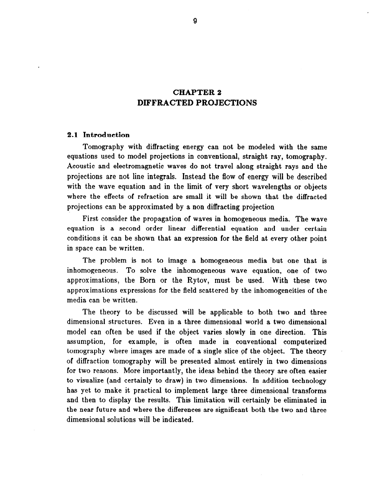# CHAPTER 2 DIFFRACTED PROJECTIONS

# 2.1 Introduction

Tomography with diffracting energy can not be modeled with the same equations used to model projections in conventional, straight ray, tomography. Acoustic and electromagnetic waves do not travel along straight rays and the projections are not line integrals. Instead the flow of energy will be described with the wave equation and in the limit of very short wavelengths or objects where the effects of refraction are small it will be shown that the diffracted projections can be approximated by a non diffracting projection

First consider the propagation of waves in homogeneous media. The wave equation is a second order linear differential equation and under certain conditions it can be shown that an expression for the field at every other point in space can be written.

The problem is not to image a homogeneous media but one that is inhomogeneous. To solve the inhomogeneous wave equation, one of two approximations, the Born or the Rytov, must be used. With these two approximations expressions for the field scattered by the inhomogeneities of the media can be written.

The theory to be discussed will be applicable to both two and three dimensional structures. Even in a three dimensional world a two dimensional model can often be used if the object varies slowly in one direction. This assumption, for example, is often made in conventional computerized tomography where images are made of a single slice of the object. The theory of diffraction tomography will be presented almost entirely in two dimensions for two reasons. More importantly, the ideas behind the theory are often easier to visualize (and certainly to draw) in two dimensions. In addition technology has yet to make it practical to implement large three dimensional transforms and then to display the results. This limitation will certainly be eliminated in the near future and where the differences are significant both the two and three dimensional solutions will be indicated.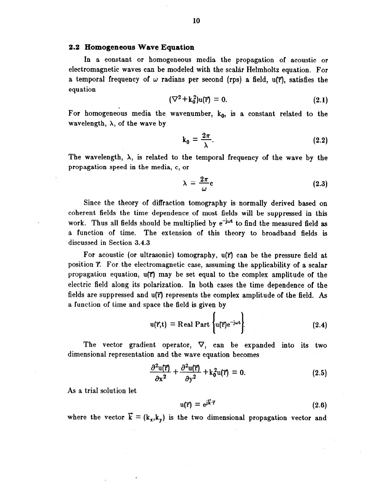#### 2.2 Homogeneous Wave Equation

In a constant or homogeneous media the propagation of acoustic or electromagnetic waves can be modeled with the scalar Helmholtz equation. For a temporal frequency of  $\omega$  radians per second (rps) a field, u(F), satisfies the equation

$$
(\nabla^2 + k_0^2)u(\vec{r}) = 0. \qquad (2.1)
$$

For homogeneous media the wavenumber,  $k_0$ , is a constant related to the wavelength,  $\lambda$ , of the wave by

$$
k_0 = \frac{2\pi}{\lambda}.\tag{2.2}
$$

The wavelength,  $\lambda$ , is related to the temporal frequency of the wave by the propagation speed in the media, c, or

$$
\lambda = \frac{2\pi}{\omega}c
$$
 (2.3)

Since the theory of diffraction tomography is normally derived based on coherent fields the time dependence of most fields will be suppressed in this work. Thus all fields should be multiplied by  $e^{-j\omega t}$  to find the measured field as a function of time. The extension of this theory to broadband fields is discussed in Section 3.4.3

For acoustic (or ultrasonic) tomography, u(F) can be the pressure field at position  $\vec{r}$ . For the electromagnetic case, assuming the applicability of a scalar propagation equation,  $u(\vec{r})$  may be set equal to the complex amplitude of the electric field along its polarization. In both cases the time dependence of the fields are suppressed and  $u(\vec{r})$  represents the complex amplitude of the field. As a function of time and space the field is given by

$$
u(\vec{r},t) = \text{Real Part } \left\{ u(\vec{r})e^{-j\omega t} \right\}.
$$
 (2.4)

The vector gradient operator,  $\nabla$ , can be expanded into its two dimensional representation and the wave equation becomes

$$
\frac{\partial^2 \mathbf{u}(\vec{\mathbf{r}})}{\partial \mathbf{x}^2} + \frac{\partial^2 \mathbf{u}(\vec{\mathbf{r}})}{\partial \mathbf{y}^2} + \mathbf{k}_0^2 \mathbf{u}(\vec{\mathbf{r}}) = 0. \tag{2.5}
$$

As a trial solution let

$$
u(\vec{r}) = e^{j\vec{k}\cdot\vec{r}} \tag{2.6}
$$

where the vector  $\vec{k} = (k_x, k_y)$  is the two dimensional propagation vector and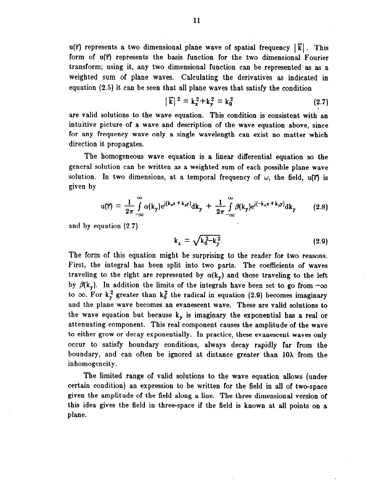u( $\overline{r}$ ) represents a two dimensional plane wave of spatial frequency  $|\overline{k}|$ . This form of u(?') represents the basis function for the two dimensional Fourier transform; using it, any two dimensional function can be represented as as a weighted sum of plane waves. Calculating the derivatives as indicated in equation (2.5) it can be seen that all plane waves that satisfy the condition

$$
|\vec{k}|^2 = k_x^2 + k_y^2 = k_0^2 \tag{2.7}
$$

are valid solutions to the wave equation. This condition is consistent with an intuitive picture of a wave and description of the wave equation above, since for any frequency wave only a single wavelength can exist no matter which direction it propagates.

The homogeneous wave equation is a linear differential equation so the general solution can be written as a weighted sum of each possible plane wave solution. In two dimensions, at a temporal frequency of  $\omega$ , the field, u( $\vec{r}$ ) is given by

$$
u(\vec{r}) = \frac{1}{2\pi} \int_{-\infty}^{\infty} \alpha(k_y) e^{j(k_x x + k_y y)} dk_y + \frac{1}{2\pi} \int_{-\infty}^{\infty} \beta(k_y) e^{j(-k_x x + k_y y)} dk_y \qquad (2.8)
$$

and by equation (2.7)

$$
k_x = \sqrt{k_0^2 - k_y^2}.
$$
 (2.9)

The form of this equation might be surprising to the reader for two reasons. First, the integral has been split into two parts. The coefficients of waves traveling to the right are represented by  $\alpha(k_v)$  and those traveling to the left by  $\beta(k_y)$ . In addition the limits of the integrals have been set to go from  $-\infty$ to  $\infty$ . For k<sub>y</sub> greater than k<sub>0</sub><sup>2</sup> the radical in equation (2.9) becomes imaginary and the plane wave becomes an evanescent wave. These are valid solutions to the wave equation but because  $k_y$  is imaginary the exponential has a real or attenuating component. This real component causes the amplitude of the wave to either grow or decay exponentially. In practice, these evanescent waves only occur to satisfy boundary conditions, always decay rapidly far from the boundary, and can often be ignored at distance greater than 10X from the inhomogeneity.

The limited range of valid solutions to the wave equation allows (under certain condition) an expression to be written for the field in all of two-space given the amplitude of the field along a line. The three dimensional version of this idea gives the field in three-space if the field is known at all points on a plane.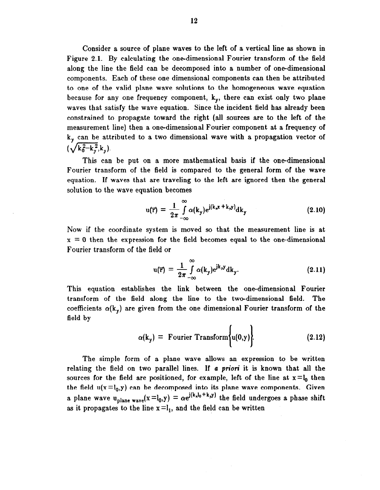Consider a source of plane waves to the left of a vertical line as shown in Figure 2.1. By calculating the one-dimensional Fourier transform of the field along the line the field can be decomposed into a number of one-dimensional components. Each of these one dimensional components can then be attributed to one of the valid plane wave solutions to the homogeneous wave equation because for any one frequency component,  $k_v$ , there can exist only two plane waves that satisfy the wave equation. Since the incident field has already been constrained to propagate toward the right (all sources are to the left of the measurement line) then a one-dimensional Fourier component at a frequency of  $k<sub>v</sub>$  can be attributed to a two dimensional wave with a propagation vector of  $(\sqrt{k_0^2-k_y^2},k_y)$ .

This can be put on a more mathematical basis if the one-dimensional Fourier transform of the field is compared to the general form of the wave equation. If waves that are traveling to the left are ignored then the general solution to the wave equation becomes

$$
u(\vec{r}) = \frac{1}{2\pi} \int_{-\infty}^{\infty} \alpha(k_y) e^{j(k_x x + k_y y)} dk_y
$$
 (2.10)

Now if the coordinate system is moved so that the measurement line is at  $x = 0$  then the expression for the field becomes equal to the one-dimensional Fourier transform of the field or

$$
u(\vec{r}) = \frac{1}{2\pi} \int_{-\infty}^{\infty} \alpha(k_y) e^{jk_y y} dk_y.
$$
 (2.11)

This equation establishes the link between the one-dimensional Fourier transform of the field along the line to the two-dimensional field. The coefficients  $\alpha(k_v)$  are given from the one dimensional Fourier transform of the field by

$$
\alpha(k_y) = \text{Fourier Transform}\bigg\{u(0,y)\bigg\}.
$$
 (2.12)

The simple form of a plane wave allows an expression to be written relating the field on two parallel lines. If a priori it is known that all the sources for the field are positioned, for example, left of the line at  $x = l_0$  then the field  $u(x = l_0, y)$  can be decomposed into its plane wave components. Given a plane wave u<sub>plane wave</sub> $(x = l_0, y) = \alpha e^{j(k_xl_0+k_yy)}$  the field undergoes a phase shift as it propagates to the line  $x = l_1$ , and the field can be written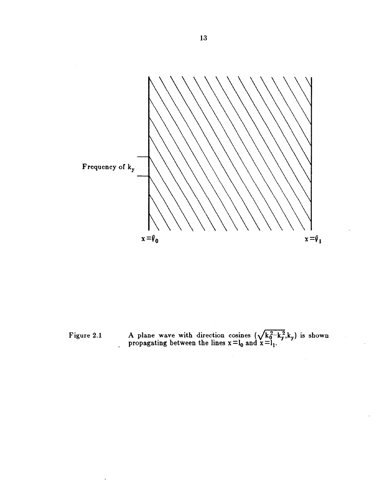

Figure 2.1 A plane wave with direction cosines  $(\sqrt{k_0^2-k_1^2}k_0)$  is shown propagating between the lines  $x = l_0$  and  $x = l$ .

 $\ddot{\phantom{a}}$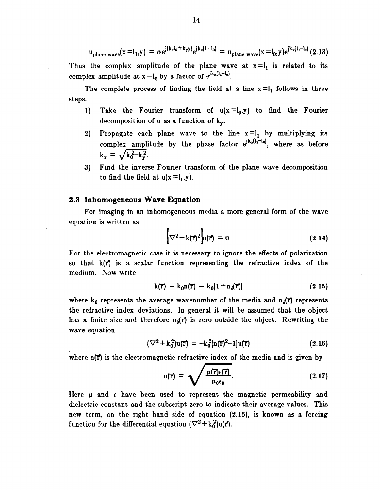$$
u_{\text{plane wave}}(x=l_1,y) = \alpha e^{j(k_x l_0 + k_y y)} e^{jk_x (l_1 - l_0)} = u_{\text{plane wave}}(x=l_0,y) e^{jk_x (l_1 - l_0)} (2.13)
$$

Thus the complex amplitude of the plane wave at  $x = l_1$  is related to its complex amplitude at  $x = l_0$  by a factor of  $e^{ik_x(l_1-l_0)}$ .

The complete process of finding the field at a line  $x = l_1$  follows in three steps.

- 1) Take the Fourier transform of  $u(x = l_0, y)$  to find the Fourier decomposition of u as a function of  $k_v$ .
- 2) Propagate each plane wave to the line  $x = l_1$  by multiplying its complex amplitude by the phase factor  $e^{ik_x(l_x-l_0)}$ , where as before  $k_x = \sqrt{k_0^2-k_y^2}$ .
- 3) Find the inverse Fourier transform of the plane wave decomposition to find the field at  $u(x = l_1, y)$ .

# 2.3 Inhomogeneous Wave Equation

For imaging in an inhomogeneous media a more general form of the wave equation is written as

$$
\left[\nabla^2 + k(\vec{r})^2\right]u(\vec{r}) = 0. \tag{2.14}
$$

For the electromagnetic case it is necessary to ignore the effects of polarization so that  $k(\vec{r})$  is a scalar function representing the refractive index of the medium. Now write

$$
k(\vec{r}) = k_0 n(\vec{r}) = k_0 [1 + n_0(\vec{r})]
$$
 (2.15)

where  $k_0$  represents the average wavenumber of the media and  $n_{\delta}(\vec{r})$  represents the refractive index deviations. In general it will be assumed that the object has a finite size and therefore  $n_{\delta}(r)$  is zero outside the object. Rewriting the wave equation

$$
(\nabla^2 + k_0^2)u(\vec{r}) = -k_0^2[n(\vec{r})^2 - 1]u(\vec{r})
$$
\n(2.16)

where  $n(\vec{r})$  is the electromagnetic refractive index of the media and is given by

$$
n(\vec{r}) = \sqrt{\frac{\mu(\vec{r})\epsilon(\vec{r})}{\mu_0 \epsilon_0}}.
$$
 (2.17)

Here  $\mu$  and  $\epsilon$  have been used to represent the magnetic permeability and dielectric constant and the subscript zero to indicate their average values. This new term, on the right hand side of equation (2.16), is known as a forcing function for the differential equation  $(\nabla^2 + k_0^2)u(\vec{r}).$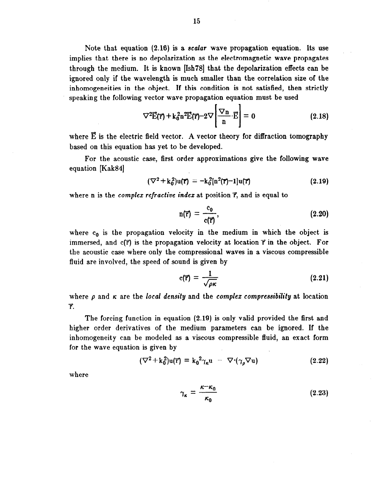Note that equation (2.16) is a scalar wave propagation equation. Its use implies that there is no depolarization as the electromagnetic wave propagates through the medium. It is known [Ish78] that the depolarization effects can be ignored only if the wavelength is much smaller than the correlation size of the inhomogeneities in the object. If this condition is not satisfied, then strictly speaking the following vector wave propagation equation must be used

$$
\nabla^2 \vec{E}(\vec{r}) + k_0^2 n^2 \vec{E}(\vec{r}) - 2\nabla \left[ \frac{\nabla n}{n} \cdot \vec{E} \right] = 0 \qquad (2.18)
$$

where  $\vec{E}$  is the electric field vector. A vector theory for diffraction tomography based on this equation has yet to be developed.

For the acoustic case, first order approximations give the following wave equation [Kak84]

$$
(\nabla^2 + k_0^2)u(\vec{r}) = -k_0^2[n^2(\vec{r})-1]u(\vec{r})
$$
\n(2.19)

where n is the *complex refractive index* at position  $\vec{r}$ , and is equal to

$$
n(\overline{r}) = \frac{c_0}{c(\overline{r})},\tag{2.20}
$$

where  $c_0$  is the propagation velocity in the medium in which the object is immersed, and  $c(\vec{r})$  is the propagation velocity at location  $\vec{r}$  in the object. For the acoustic case where only the compressional waves in a viscous compressible fluid are involved, the speed of sound is given by

$$
c(\vec{r}) = \frac{1}{\sqrt{\rho \kappa}} \tag{2.21}
$$

where  $\rho$  and  $\kappa$  are the local density and the complex compressibility at location 7.

The forcing function in equation (2.19) is only valid provided the first and higher order derivatives of the medium parameters can be ignored. If the inhomogeneity can be modeled as a viscous compressible fluid, an exact form for the wave equation is given by

$$
(\nabla^2 + k_0^2)u(\vec{r}) = k_0^2 \gamma_\kappa u - \nabla \cdot (\gamma_\rho \nabla u)
$$
 (2.22)

where

$$
\gamma_{\kappa} = \frac{\kappa - \kappa_0}{\kappa_0} \tag{2.23}
$$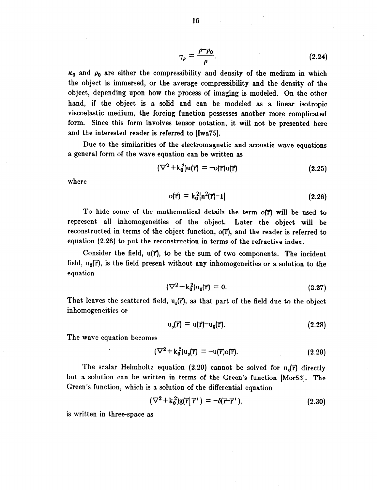$$
\gamma_{\rho} = \frac{\rho - \rho_0}{\rho}.\tag{2.24}
$$

 $\kappa_0$  and  $\rho_0$  are either the compressibility and density of the medium in which the object is immersed, or the average compressibility and the density of the object, depending upon how the process of imaging is modeled. On the other hand, if the object is a solid and can be modeled as a linear isotropic viscoelastic medium, the forcing function possesses another more complicated form. Since this form involves tensor notation, it will not be presented here and the interested reader is referred to (Iwa75].

Due to the similarities of the electromagnetic and acoustic wave equations a general form of the wave equation can be written as

$$
(\nabla^2 + k_0^2)u(\vec{r}) = -o(\vec{r})u(\vec{r})
$$
\n(2.25)

where

$$
o(\vec{r}) = k_0^2[n^2(\vec{r})-1]
$$
 (2.26)

To hide some of the mathematical details the term o( $\vec{r}$ ) will be used to represent all inhomogeneities of the object. Later the object will be reconstructed in terms of the object function, o(T), and the reader is referred to equation (2.20) to put the reconstruction in terms of the refractive index.

Consider the field,  $u(\vec{r})$ , to be the sum of two components. The incident field,  $u_0(\vec{r})$ , is the field present without any inhomogeneities or a solution to the equation

$$
(\nabla^2 + k_0^2)u_0(\vec{r}) = 0. \tag{2.27}
$$

That leaves the scattered field,  $u_s(\vec{r})$ , as that part of the field due to the object inhomogeneit ies or

$$
u_s(\vec{r}) = u(\vec{r}) - u_0(\vec{r}). \qquad (2.28)
$$

The wave equation becomes

$$
(\nabla^2 + \mathbf{k}_0^2) \mathbf{u}_s(\vec{\mathbf{r}}) = -\mathbf{u}(\vec{\mathbf{r}}) \mathbf{o}(\vec{\mathbf{r}}). \tag{2.29}
$$

The scalar Helmholtz equation (2.29) cannot be solved for  $u_{s}(\vec{r})$  directly but a solution can be written in terms of the Green's function [Mor53]. The Green's function, which is a solution of the differential equation

$$
(\nabla^2 + k_0^2)g(\vec{r}|\vec{r}') = -\delta(\vec{r}-\vec{r}'), \qquad (2.30)
$$

is written in three-space as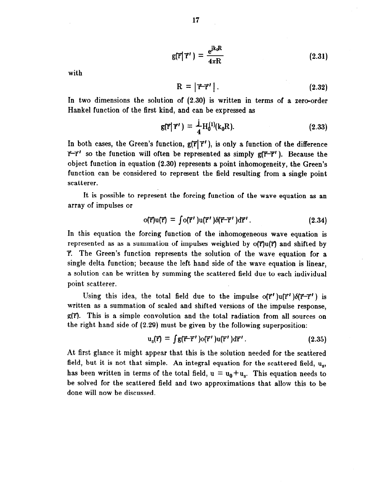$$
g(\vec{r}|\vec{\tau}') = \frac{e^{jk_0R}}{4\pi R}
$$
 (2.31)

with

$$
R = |\vec{r}\cdot\vec{r}'| \,. \tag{2.32}
$$

In two dimensions the solution of (2.30) is written in terms of a zero-order Hankel function of the first kind, and can be expressed as

$$
g(\vec{r}|\vec{r}') = \frac{1}{4}H_0^{(1)}(k_0R). \qquad (2.33)
$$

In both cases, the Green's function,  $g(\vec{r}|\vec{r}')$ , is only a function of the difference  $\vec{r}-\vec{r}'$  so the function will often be represented as simply  $g(\vec{r}-\vec{r}')$ . Because the object function in equation (2.30) represents a point inhomogeneity, the Green's function can be considered to represent the field resulting from a single point scatterer.

It is possible to represent the forcing function of the wave equation as an array of impulses or

$$
o(\vec{r})u(\vec{r}) = \int o(\vec{r}')u(\vec{r}')\delta(\vec{r}-\vec{r}')d\vec{r}'.
$$
 (2.34)

In this equation the forcing function of the inhomogeneous wave equation is represented as as a summation of impulses weighted by  $\sigma(\vec{r})u(\vec{r})$  and shifted by  $\vec{r}$ . The Green's function represents the solution of the wave equation for a single delta function; because the left hand side of the wave equation is linear, a solution can be written by summing the scattered field due to each individual point scatterer.

Using this idea, the total field due to the impulse  $o(\vec{r}')u(\vec{r}')\delta(\vec{r}-\vec{r}')$  is written as a summation of scaled and shifted versions of the impulse response,  $g(\vec{r})$ . This is a simple convolution and the total radiation from all sources on the right hand side of (2.29) must be given by the following superposition:

$$
\mathbf{u}_{\rm s}(\vec{\mathbf{r}}) = \int \mathbf{g}(\vec{\mathbf{r}} - \vec{\mathbf{r}}') \mathbf{o}(\vec{\mathbf{r}}') \mathbf{u}(\vec{\mathbf{r}}') d\vec{\mathbf{r}}' \,. \tag{2.35}
$$

At first glance it might appear that this is the solution needed for the scattered field, but it is not that simple. An integral equation for the scattered field,  $u_s$ , has been written in terms of the total field,  $u = u_0 + u_s$ . This equation needs to be solved for the scattered field and two approximations that allow this to be done will now be discussed.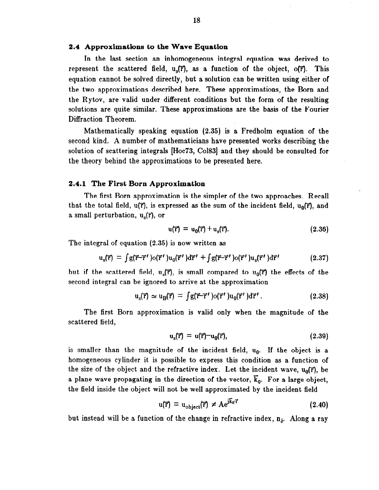# 2.4 Approximations to the Wave Equation

In the last section an inhomogeneous integral equation was derived to represent the scattered field,  $u_s(\vec{r})$ , as a function of the object,  $o(\vec{r})$ . This equation cannot be solved directly, but a solution can be written using either of the two approximations described here. These approximations, the Born and the Rytov, are valid under different conditions but the form of the resulting solutions are quite similar. These approximations are the basis of the Fourier Diffraction Theorem.

Mathematically speaking equation (2.35) is a Fredholm equation of the second kind. A number of mathematicians have presented works describing the solution of scattering integrals [Hoc73, Co1831 and they should be consulted for the theory behind the approximations to be presented here.

### 2.4.1 The First Born Approximation

The first Born approximation is the simpler of the two approaches. Recall that the total field,  $u(\vec{r})$ , is expressed as the sum of the incident field,  $u_0(\vec{r})$ , and a small perturbation,  $u_{s}(\vec{r})$ , or

$$
\mathbf{u}(\mathbf{\vec{r}}) = \mathbf{u}_0(\mathbf{\vec{r}}) + \mathbf{u}_s(\mathbf{\vec{r}}). \tag{2.36}
$$

The integral of equation (2.35) is now written as

$$
\mathbf{u}_{\mathrm{s}}(\vec{\mathbf{r}}) = \int \mathbf{g}(\vec{\mathbf{r}} - \vec{\mathbf{r}}') \mathbf{o}(\vec{\mathbf{r}}') \mathbf{u}_{0}(\vec{\mathbf{r}}') d\vec{\mathbf{r}}' + \int \mathbf{g}(\vec{\mathbf{r}} - \vec{\mathbf{r}}') \mathbf{o}(\vec{\mathbf{r}}') \mathbf{u}_{\mathrm{s}}(\vec{\mathbf{r}}') d\vec{\mathbf{r}}'
$$
(2.37)

but if the scattered field,  $u_s(\vec{r})$ , is small compared to  $u_0(\vec{r})$  the effects of the second integral can be ignored to arrive at the approximation

$$
\mathrm{u}_{\mathrm{s}}(\vec{\mathrm{r}}) \simeq \mathrm{u}_{\mathrm{B}}(\vec{\mathrm{r}}) = \int \mathrm{g}(\vec{\mathrm{r}} - \vec{\mathrm{r}}') \mathrm{o}(\vec{\mathrm{r}}') \mathrm{u}_{0}(\vec{\mathrm{r}}') \mathrm{d}\vec{\mathrm{r}}'. \tag{2.38}
$$

The first Born approximation is valid only when the magnitude of the scattered field,

$$
\mathbf{u}_{\rm s}(\vec{\mathbf{r}}) = \mathbf{u}(\vec{\mathbf{r}}) - \mathbf{u}_0(\vec{\mathbf{r}}),\tag{2.39}
$$

is smaller than the magnitude of the incident field,  $u_0$ . If the object is a homogeneous cylinder it is possible to express this condition as a function of the size of the object and the refractive index. Let the incident wave,  $u_0(\vec{r})$ , be a plane wave propagating in the direction of the vector,  $\vec{k}_0$ . For a large object, the field inside the object will not be well approximated by the incident field

$$
u(\vec{r}) = u_{object}(\vec{r}) \neq Ae^{i\vec{k}_0 \vec{r}}
$$
 (2.40)

but instead will be a function of the change in refractive index,  $n_{\delta}$ . Along a ray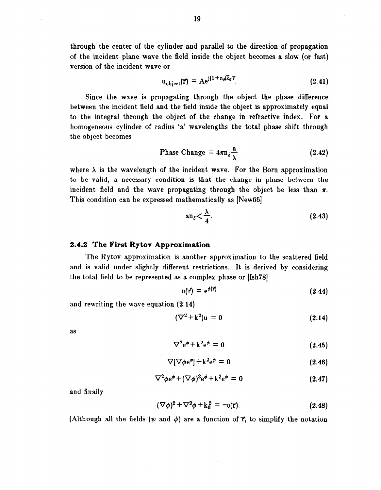through the center of the cylinder and parallel to the direction of propagation , of the incident plane wave the field inside the object becomes a slow (or fast) version of the incident wave or

$$
u_{object}(\vec{r}) = Ae^{j(1+n_{\theta}k_0\vec{r}}.\t(2.41)
$$

Since the wave is propagating through the object the phase difference between the incident field and the field inside the object is approximately equal to the integral through the object of the change in refractive index. For a homogeneous cylinder of radius 'a' wavelengths the total phase shift through the object becomes

Phase Change 
$$
= 4\pi n_{\delta} \frac{a}{\lambda}
$$
 (2.42)

where  $\lambda$  is the wavelength of the incident wave. For the Born approximation to be valid, a necessary condition is that the change in phase between the incident field and the wave propagating through the object be less than  $\pi$ . This condition can be expressed mathematically as [New66]

$$
an_{\delta} < \frac{\lambda}{4}.
$$
 (2.43)

### 2.4.2 The First Rytov Approximation

The Rytov approximation is another approximation to the scattered field and is valid under slightly different restrictions. It is derived by considering the total field to be represented as a complex phase or (Ish78]

$$
u(\vec{r}) = e^{\phi(\vec{r})} \tag{2.44}
$$

and rewriting the wave equation (2.14)

$$
(\nabla^2 + \mathbf{k}^2)\mathbf{u} = 0 \tag{2.14}
$$

as

$$
\nabla^2 e^{\phi} + k^2 e^{\phi} = 0 \qquad (2.45)
$$

$$
\nabla[\nabla\phi\mathbf{e}^{\phi}] + \mathbf{k}^2\mathbf{e}^{\phi} = 0 \qquad (2.46)
$$

$$
\nabla^2 \phi e^{\phi} + (\nabla \phi)^2 e^{\phi} + k^2 e^{\phi} = 0 \qquad (2.47)
$$

and finally

$$
(\nabla \phi)^2 + \nabla^2 \phi + k_0^2 = -o(\vec{r}).
$$
 (2.48)

(Although all the fields  $(\psi \text{ and } \phi)$  are a function of  $\vec{\tau}$ , to simplify the notation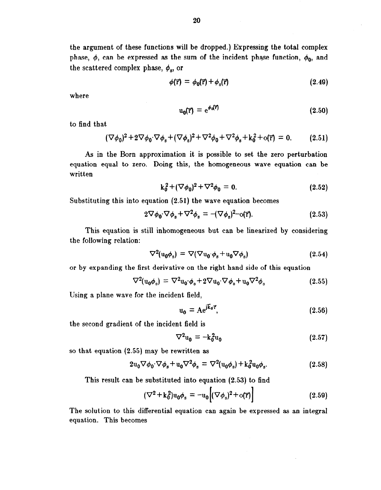the argument of these functions will be dropped.) Expressing the total complex phase,  $\phi$ , can be expressed as the sum of the incident phase function,  $\phi_0$ , and the scattered complex phase,  $\phi_s$ , or

$$
\phi(\vec{r}) = \phi_0(\vec{r}) + \phi_s(\vec{r}) \tag{2.49}
$$

where

$$
u_0(\vec{r}) = e^{\phi_0(\vec{r})} \tag{2.50}
$$

to find that

$$
(\nabla \phi_0)^2 + 2 \nabla \phi_0 \cdot \nabla \phi_s + (\nabla \phi_s)^2 + \nabla^2 \phi_0 + \nabla^2 \phi_s + k_0^2 + o(\vec{r}) = 0.
$$
 (2.51)

As in the Born approximation it is possible to set the zero perturbation equation equal to zero. Doing this, the homogeneous wave equation can be written

$$
k_0^2 + (\nabla \phi_0)^2 + \nabla^2 \phi_0 = 0. \tag{2.52}
$$

Substituting this into equation (2.51) the wave equation becomes

$$
2\nabla\phi_0 \cdot \nabla\phi_s + \nabla^2\phi_s = -(\nabla\phi_s)^2 - o(\vec{r}).\tag{2.53}
$$

This equation is still inhomogeneous but can be linearized by considering the following relation:

$$
\nabla^2(\mathbf{u}_0 \phi_s) = \nabla(\nabla \mathbf{u}_0 \phi_s + \mathbf{u}_0 \nabla \phi_s)
$$
 (2.54)

or by expanding the first derivative on the right hand side of this equation

$$
\nabla^2(\mathbf{u}_0 \phi_s) = \nabla^2 \mathbf{u}_0 \phi_s + 2 \nabla \mathbf{u}_0 \nabla \phi_s + \mathbf{u}_0 \nabla^2 \phi_s \tag{2.55}
$$

Using a plane wave for the incident field,

$$
\mathbf{u_0} = \mathbf{A} \mathbf{e}^{j \mathbf{k_0} \cdot \mathbf{r}},\tag{2.56}
$$

the second gradient of the incident field is

$$
\nabla^2 \mathbf{u}_0 = -\mathbf{k}_0^2 \mathbf{u}_0 \tag{2.57}
$$

so that equation (2.55) may be rewritten as

$$
2u_0\nabla\phi_0\cdot\nabla\phi_s + u_0\nabla^2\phi_s = \nabla^2(u_0\phi_s) + k_0^2u_0\phi_s. \tag{2.58}
$$

This result can be substituted into equation (2.53) to find

$$
(\nabla^2 + \mathbf{k}_0^2) \mathbf{u}_0 \phi_s = -\mathbf{u}_0 \Big[ (\nabla \phi_s)^2 + \mathbf{o}(\vec{r}) \Big] \tag{2.59}
$$

The solution to this differential equation can again be expressed as an integral equation. This becomes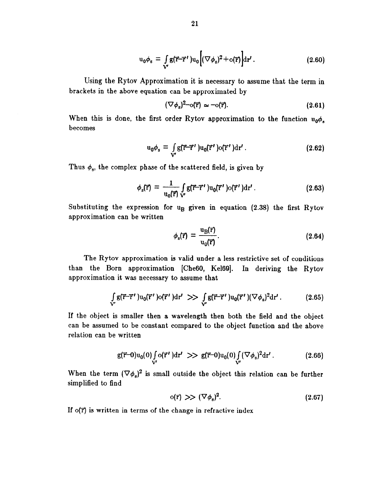$$
\mathbf{u}_0 \phi_s = \int_{\mathbf{V}'} g(\vec{\mathbf{r}} - \vec{\mathbf{r}}') \mathbf{u}_0 \left[ (\nabla \phi_s)^2 + o(\vec{\mathbf{r}}) \right] \mathrm{d}\mathbf{r'}.
$$
 (2.60)

Using the Rytov Approximation it is necessary to assume that the term in brackets in the above equation can be approximated by

$$
(\nabla \phi_{\rm s})^2 - o(\vec{r}) \simeq -o(\vec{r}). \tag{2.61}
$$

When this is done, the first order Rytov approximation to the function  $u_0\phi$ . becomes

$$
\mathbf{u}_0 \phi_s = \int_{\mathbf{V}'} g(\vec{\mathbf{r}} - \vec{\mathbf{r}}') \mathbf{u}_0(\vec{\mathbf{r}}') \mathbf{d} \vec{\mathbf{r}}' \,. \tag{2.62}
$$

Thus  $\phi_s$ , the complex phase of the scattered field, is given by

$$
\phi_{\rm s}(\vec{\mathbf{r}}) = \frac{1}{u_0(\vec{\mathbf{r}})} \int_{\mathbf{V}'} g(\vec{\mathbf{r}} - \vec{\mathbf{r}}') u_0(\vec{\mathbf{r}}') \, \mathrm{d}\mathbf{r'}.
$$
 (2.63)

Substituting the expression for  $u_R$  given in equation (2.38) the first Rytov approximation can be written

$$
\phi_{\rm s}(\vec{r}) = \frac{u_{\rm B}(\vec{r})}{u_0(\vec{r})}.
$$
\n(2.64)

The Rytov approximation is valid under a less restrictive set of conditions than the Born approximation [CheGO, Ke169]. In deriving the Rytov approximation it was necessary to assume that

$$
\int\limits_{\mathbf{V}'} g(\vec{r} - \vec{r}') u_0(\vec{r}') \, \mathrm{d}(\vec{r}') \, \mathrm{d}r' \implies \int\limits_{\mathbf{V}'} g(\vec{r} - \vec{r}') u_0(\vec{r}') (\nabla \phi_s)^2 \, \mathrm{d}r' \, . \tag{2.65}
$$

If the object is smaller then a wavelength then both the field and the object can be assumed to be constant compared to the object function and the above relation can be written

$$
\mathsf{g}(\vec{r}-0)u_0(0)\underset{V'}{\int}\mathrm{o}(\vec{r}')\mathrm{d}r' >> \mathsf{g}(\vec{r}-0)u_0(0)\underset{V'}{\int}(\nabla\phi_s)^2\mathrm{d}r' \,. \tag{2.66}
$$

When the term  $(\nabla \phi_{s})^{2}$  is small outside the object this relation can be further simplified to find

$$
o(\vec{r}) \gg (\nabla \phi_s)^2. \tag{2.67}
$$

If  $o(\vec{r})$  is written in terms of the change in refractive index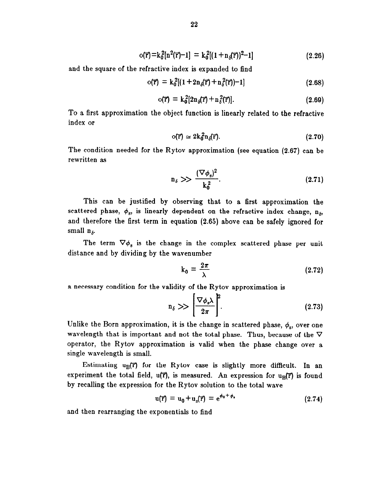$$
o(\vec{r}) = k_0^2[n^2(\vec{r})-1] = k_0^2[(1+n_0(\vec{r}))^2-1]
$$
\n(2.26)

and the square of the refractive index is expanded to find

$$
o(\vec{r}) = k_0^2[(1 + 2n_0(\vec{r}) + n_\delta^2(\vec{r})) - 1]
$$
\n(2.68)

$$
o(\vec{r}) = k_0^2 [2n_\delta(\vec{r}) + n_\delta^2(\vec{r})]. \qquad (2.69)
$$

To a first approximation the object function is linearly related to the refractive index or

$$
o(\vec{r}) \simeq 2k_0^2 n_\delta(\vec{r}). \tag{2.70}
$$

The condition needed for the Rytov approximation (see equation (2.67) can be rewritten as

$$
n_{\delta} \gg \frac{(\nabla \phi_{s})^2}{k_0^2}.
$$
\n(2.71)

This can be justified by observing that to a first approximation the scattered phase,  $\phi_s$ , is linearly dependent on the refractive index change,  $n_{\delta}$ , and therefore the first term in equation (2.65) above can be safely ignored for small  $n_{\delta}$ .

The term  $\nabla \phi_s$  is the change in the complex scattered phase per unit distance and by dividing by the wavenumber

$$
k_0 = \frac{2\pi}{\lambda} \tag{2.72}
$$

a necessary condition for the validity of the Rytov approximation is

$$
n_{\delta} \gg \left[\frac{\nabla \phi_{s} \lambda}{2\pi}\right]^{2}.
$$
 (2.73)

Unlike the Born approximation, it is the change in scattered phase,  $\phi_s$ , over one wavelength that is important and not the total phase. Thus, because of the  $\nabla$ operator, the Rytov approximation is valid when the phase change over a single wavelength is small.

Estimating  $u_R(\vec{r})$  for the Rytov case is slightly more difficult. In an experiment the total field,  $u(\vec{r})$ , is measured. An expression for  $u_{\text{B}}(\vec{r})$  is found by recalling the expression for the Rytov solution to the total wave

$$
u(\vec{r}) = u_0 + u_s(\vec{r}) = e^{\phi_0 + \phi_s}
$$
 (2.74)

and then rearranging the exponentials to find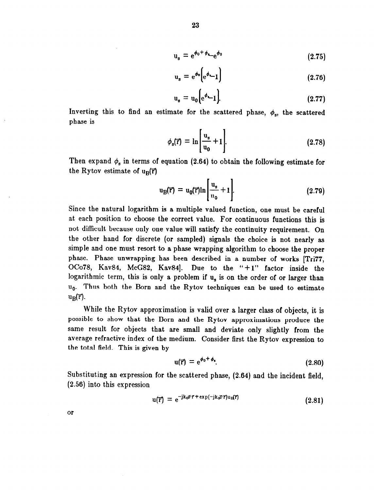$$
u_s = e^{\phi_0 + \phi_{s}} e^{\phi_0} \tag{2.75}
$$

$$
u_s = e^{\phi_0} \Big[ e^{\phi} - 1 \Big] \tag{2.76}
$$

$$
u_s = u_0 \Big[ e^{\phi} - 1 \Big]. \tag{2.77}
$$

Inverting this to find an estimate for the scattered phase,  $\phi_s$ , the scattered phase is

$$
\phi_{s}(\vec{r}) = \ln \left[ \frac{u_{s}}{u_{0}} + 1 \right]. \tag{2.78}
$$

Then expand  $\phi_s$  in terms of equation (2.64) to obtain the following estimate for the Rytov estimate of  $u_B(\vec{r})$ 

$$
u_B(\vec{r}) = u_0(\vec{r}) \ln \left[ \frac{u_s}{u_0} + 1 \right]. \tag{2.79}
$$

Since the natural logarithm is a multiple valued function, one must be careful at each position to choose the correct value. For continuous functions this is not difficult because only one value will satisfy the continuity requirement. On the other hand for discrete (or sampled) signals the choice is not nearly as simple and one must resort to a phase wrapping algorithm to choose the proper phase. Phase unwrapping has been described in a number of works [Tri77, OCo78, Kav84, McG82, Kav84]. Due to the "+1" factor inside the logarithmic term, this is only a problem if  $u<sub>s</sub>$  is on the order of or larger than  $u_0$ . Thus both the Born and the Rytov techniques can be used to estimate  $u_{\rm R}(\vec{r})$ .

While the Rytov approximation is valid over a larger class of objects, it is possible to show that the Born and the Rytov approximations produce the same result for objects that are small and deviate only slightly from the average refractive index of the medium. Consider first the Rytov expression to the total field. This is given by

$$
u(\vec{r}) = e^{\phi_0 + \phi_*} \tag{2.80}
$$

Substituting an expression for the scattered phase, (2.64) and the incident field, (2.56) into this expression

$$
u(\vec{r}) = e^{-jk_0 \vec{s} \cdot \vec{r} + \exp(-jk_0 \vec{s} \cdot \vec{r}) u_{\vec{R}}(\vec{r})}
$$
 (2.81)

or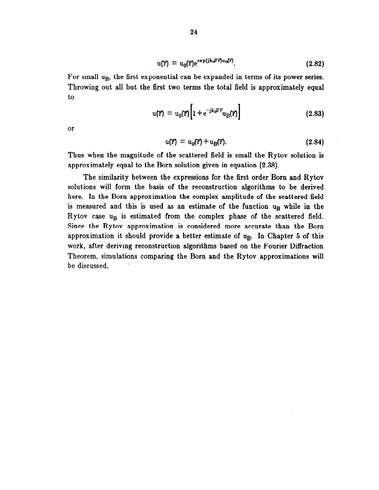$$
u(\vec{r}) = u_0(\vec{r})e^{exp(jk_0\vec{s}\cdot\vec{r})u_B(\vec{r})}.
$$
 (2.82)

For small u<sub>B</sub>, the first exponential can be expanded in terms of its power series. Throwing out all but the first two terms the total field is approximately equal to

$$
u(\vec{r}) = u_0(\vec{r}) \left[ 1 + e^{-jk_0 \vec{s}^c \vec{r}} u_B(\vec{r}) \right]
$$
 (2.83)

or

$$
\mathbf{u}(\mathbf{\vec{r}}) = \mathbf{u}_0(\mathbf{\vec{r}}) + \mathbf{u}_B(\mathbf{\vec{r}}). \tag{2.84}
$$

Thus when the magnitude of the scattered field is small the Rytov solution is approximately equal to the Born solution given in equation (2.38).

The similarity between the expressions for the first order Born and Rytov solutions will form the basis of the reconstruction algorithms to be derived here. In the Born approximation the complex amplitude of the scattered field is measured and this is used as an estimate of the function ug while in the Rytov case  $u_B$  is estimated from the complex phase of the scattered field. Since the Rytov approximation is considered more accurate than the Born approximation it should provide a better estimate of  $u_B$ . In Chapter 5 of this work, after deriving reconstruction algorithms based on the Fourier Diffraction Theorem, simulations comparing the Born and the Rytov approximations will be discussed.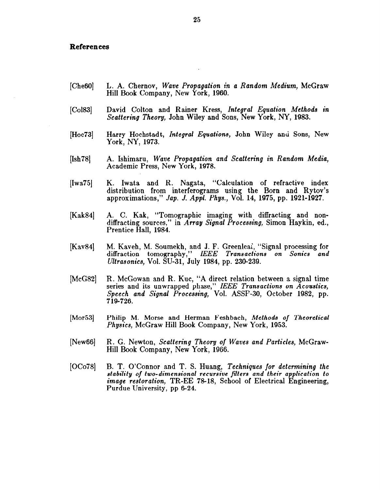### References

- [Che<sub>60</sub>] L. A. Chernov, Wave Propagation in a Random Medium, McGraw Hill Book Company, New York, 1960.
- [Col83] David Colton and Rainer Kress, Integral Equation Methods in Scattering Theory, John Wiley and Sons, New York, NY, 1983.
- [Hoc73] Harry Hochstadt, *Integral Equations*, John Wiley and Sons, New York, NY, 1973.
- [Ish78] A. Ishimaru, Wave Propagation and Scattering in Random Media, Academic Press, New York, 1978.
- $[Iwa75]$ K. Iwata and R. Nagata, "Calculation of refractive index distribution from interferograms using the Born and Rytov's approximations," Jap. J. Appl. Phys., Vol. 14, 1975, pp. 1921-1927.
- [Kak84] A. C. Kak, "Tomographic imaging with diffracting and nondiffracting sources," in Array Signal Processing, Simon Haykin, ed., Prentice Hall, 1984.
- [Kav84] M. Kaveh, M. Soumekh, and J. F. Greenlea;, "Signal processing for diffraction tomography," IEEE Transactions on Sonics and Ultrasonics, Vol. SU-31, July 1984, pp. 230-239.
- [McG82] R. McGowan and R. Kuc, "A direct relation between a signal time series and its unwrapped phase." IEEE Transactions on Acoustics.  $Speech$  and Signal Processing, Vol. ASSP-30, October 1982, pp. 719-726.
- [Mor53] Philip M. Morse and Herman Feshbach, Methods of Theoretical Physics, McGraw Hill Book Company, New York, 1953.
- [New<sub>66]</sub> R. G. Newton, Scattering Theory of Waves and Particles, McGraw-Hill Book Company, New York, 1966.
- [OCo78] B. T. O'Connor and T. S. Huang, Techniques for determining the stability of two-dimensional recursive filters and their application to image restoration, TR-EE 78-18, School of Electrical Engineering, Purdue University, pp 6-24.